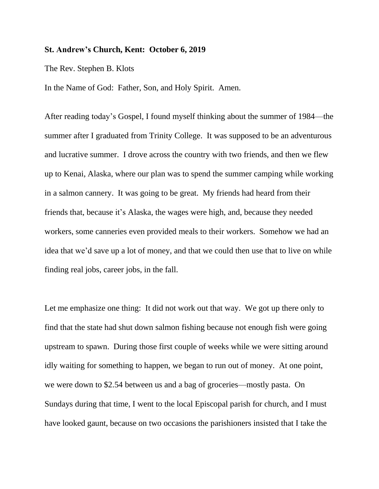## **St. Andrew's Church, Kent: October 6, 2019**

## The Rev. Stephen B. Klots

In the Name of God: Father, Son, and Holy Spirit. Amen.

After reading today's Gospel, I found myself thinking about the summer of 1984—the summer after I graduated from Trinity College. It was supposed to be an adventurous and lucrative summer. I drove across the country with two friends, and then we flew up to Kenai, Alaska, where our plan was to spend the summer camping while working in a salmon cannery. It was going to be great. My friends had heard from their friends that, because it's Alaska, the wages were high, and, because they needed workers, some canneries even provided meals to their workers. Somehow we had an idea that we'd save up a lot of money, and that we could then use that to live on while finding real jobs, career jobs, in the fall.

Let me emphasize one thing: It did not work out that way. We got up there only to find that the state had shut down salmon fishing because not enough fish were going upstream to spawn. During those first couple of weeks while we were sitting around idly waiting for something to happen, we began to run out of money. At one point, we were down to \$2.54 between us and a bag of groceries—mostly pasta. On Sundays during that time, I went to the local Episcopal parish for church, and I must have looked gaunt, because on two occasions the parishioners insisted that I take the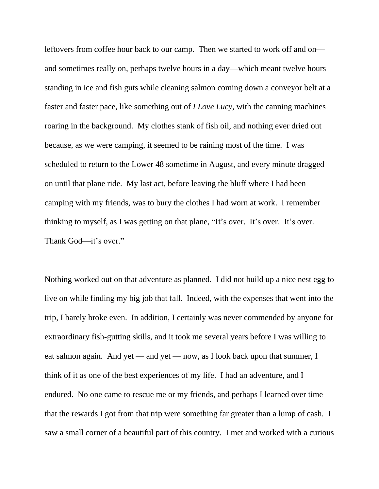leftovers from coffee hour back to our camp. Then we started to work off and on and sometimes really on, perhaps twelve hours in a day—which meant twelve hours standing in ice and fish guts while cleaning salmon coming down a conveyor belt at a faster and faster pace, like something out of *I Love Lucy,* with the canning machines roaring in the background. My clothes stank of fish oil, and nothing ever dried out because, as we were camping, it seemed to be raining most of the time. I was scheduled to return to the Lower 48 sometime in August, and every minute dragged on until that plane ride. My last act, before leaving the bluff where I had been camping with my friends, was to bury the clothes I had worn at work. I remember thinking to myself, as I was getting on that plane, "It's over. It's over. It's over. Thank God—it's over."

Nothing worked out on that adventure as planned. I did not build up a nice nest egg to live on while finding my big job that fall. Indeed, with the expenses that went into the trip, I barely broke even. In addition, I certainly was never commended by anyone for extraordinary fish-gutting skills, and it took me several years before I was willing to eat salmon again. And yet — and yet — now, as I look back upon that summer, I think of it as one of the best experiences of my life. I had an adventure, and I endured. No one came to rescue me or my friends, and perhaps I learned over time that the rewards I got from that trip were something far greater than a lump of cash. I saw a small corner of a beautiful part of this country. I met and worked with a curious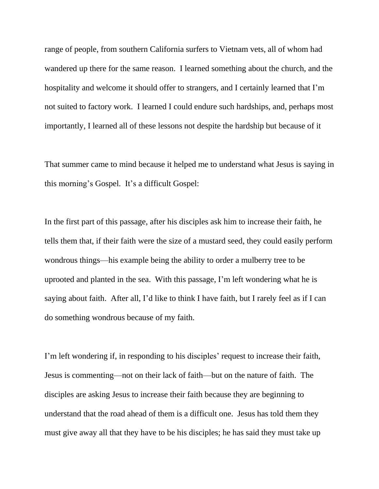range of people, from southern California surfers to Vietnam vets, all of whom had wandered up there for the same reason. I learned something about the church, and the hospitality and welcome it should offer to strangers, and I certainly learned that I'm not suited to factory work. I learned I could endure such hardships, and, perhaps most importantly, I learned all of these lessons not despite the hardship but because of it

That summer came to mind because it helped me to understand what Jesus is saying in this morning's Gospel. It's a difficult Gospel:

In the first part of this passage, after his disciples ask him to increase their faith, he tells them that, if their faith were the size of a mustard seed, they could easily perform wondrous things—his example being the ability to order a mulberry tree to be uprooted and planted in the sea. With this passage, I'm left wondering what he is saying about faith. After all, I'd like to think I have faith, but I rarely feel as if I can do something wondrous because of my faith.

I'm left wondering if, in responding to his disciples' request to increase their faith, Jesus is commenting—not on their lack of faith—but on the nature of faith. The disciples are asking Jesus to increase their faith because they are beginning to understand that the road ahead of them is a difficult one. Jesus has told them they must give away all that they have to be his disciples; he has said they must take up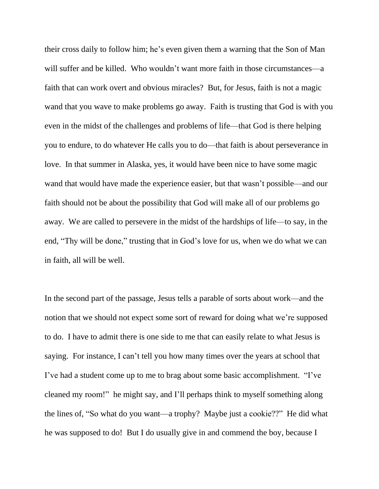their cross daily to follow him; he's even given them a warning that the Son of Man will suffer and be killed. Who wouldn't want more faith in those circumstances—a faith that can work overt and obvious miracles? But, for Jesus, faith is not a magic wand that you wave to make problems go away. Faith is trusting that God is with you even in the midst of the challenges and problems of life—that God is there helping you to endure, to do whatever He calls you to do—that faith is about perseverance in love. In that summer in Alaska, yes, it would have been nice to have some magic wand that would have made the experience easier, but that wasn't possible—and our faith should not be about the possibility that God will make all of our problems go away. We are called to persevere in the midst of the hardships of life—to say, in the end, "Thy will be done," trusting that in God's love for us, when we do what we can in faith, all will be well.

In the second part of the passage, Jesus tells a parable of sorts about work—and the notion that we should not expect some sort of reward for doing what we're supposed to do. I have to admit there is one side to me that can easily relate to what Jesus is saying. For instance, I can't tell you how many times over the years at school that I've had a student come up to me to brag about some basic accomplishment. "I've cleaned my room!" he might say, and I'll perhaps think to myself something along the lines of, "So what do you want—a trophy? Maybe just a cookie??" He did what he was supposed to do! But I do usually give in and commend the boy, because I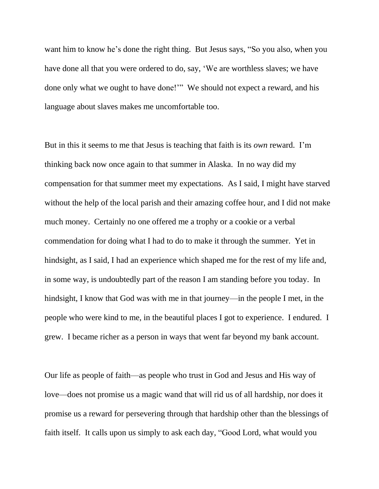want him to know he's done the right thing. But Jesus says, "So you also, when you have done all that you were ordered to do, say, 'We are worthless slaves; we have done only what we ought to have done!'" We should not expect a reward, and his language about slaves makes me uncomfortable too.

But in this it seems to me that Jesus is teaching that faith is its *own* reward. I'm thinking back now once again to that summer in Alaska. In no way did my compensation for that summer meet my expectations. As I said, I might have starved without the help of the local parish and their amazing coffee hour, and I did not make much money. Certainly no one offered me a trophy or a cookie or a verbal commendation for doing what I had to do to make it through the summer. Yet in hindsight, as I said, I had an experience which shaped me for the rest of my life and, in some way, is undoubtedly part of the reason I am standing before you today. In hindsight, I know that God was with me in that journey—in the people I met, in the people who were kind to me, in the beautiful places I got to experience. I endured. I grew. I became richer as a person in ways that went far beyond my bank account.

Our life as people of faith—as people who trust in God and Jesus and His way of love—does not promise us a magic wand that will rid us of all hardship, nor does it promise us a reward for persevering through that hardship other than the blessings of faith itself. It calls upon us simply to ask each day, "Good Lord, what would you